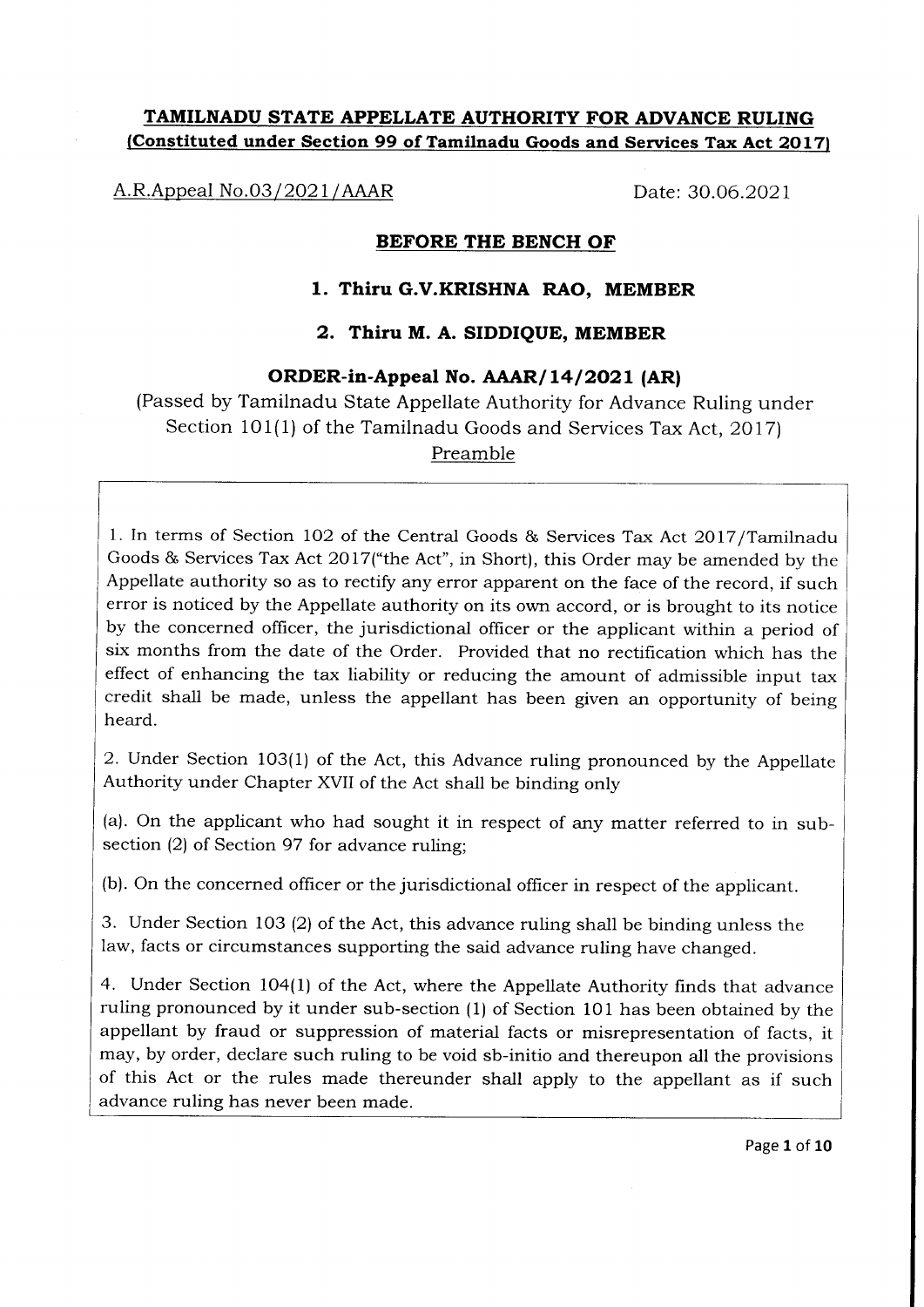# TAMILNADU STATE APPELLATE AUTHORITY FOR ADVANCE RULING (Constituted under Section 99 of Tamilnadu Goods and Services Tax Act 2017)

A.R.Appeal No.03/ 2O2 1 /AAAR Date: 30.06.2021

### BEFORE THE BENCH OF

## 1. Thiru G.V.KRISHNA RAO, MEMBER

# 2. Thiru M. A. SIDDIQUE, MEMBER

## ORDER-in-Appeal No. AAAR/14/2021 (AR)

(Passed by Tamilnadu State Appellate Authority for Advance Ruling under Section 101(1) of the Tamilnadu Goods and Services Tax Act, 2OI7) Preamble

1. In terms of Section 102 of the Central Goods & Services Tax Act 2017/Tamilnadu Goods & Services Tax Act 2017("the Act", in Short), this Order may be amended by the Appellate authority so as to rectify any error apparent on the face of the record, if such error is noticed by the Appellate authority on its own accord, or is brought to its notice by the concerned officer, the jurisdictional officer or the applicant within a period of six months from the date of the Order. Provided that no rectification which has the effect of enhancing the tax liability or reducing the amount of admissible input tax credit shall be made, unless the appellant has been given an opportunity of being heard.

2. Under Section 103(1) of the Act, this Advance ruling pronounced by the Appellate Authority under Chapter XVII of the Act shall be binding only

(a). On the applicant who had sought it in respect of any matter referred to in subsection (2) of Section 97 for advance ruling;

(b). On the concerned officer or the jurisdictional officer in respect of the applicant.

3. Under Section 103 (2) of the Act, this advance ruling shall be binding unless the law, facts or circumstances supporting the said advance ruling have changed.

4. Under Section 1O4(1) of the Act, where the Appellate Authority finds that advance ruling pronounced by it under sub-section (1) of Section 101 has been obtained by the appellant by fraud or suppression of material facts or misrepresentation of facts, it may, by order, declare such ruling to be void sb-initio and thereupon all the provisions of this Act or the rules made thereunder shall apply to the appellant as if such advance ruling has never been made.

Page 1 of 10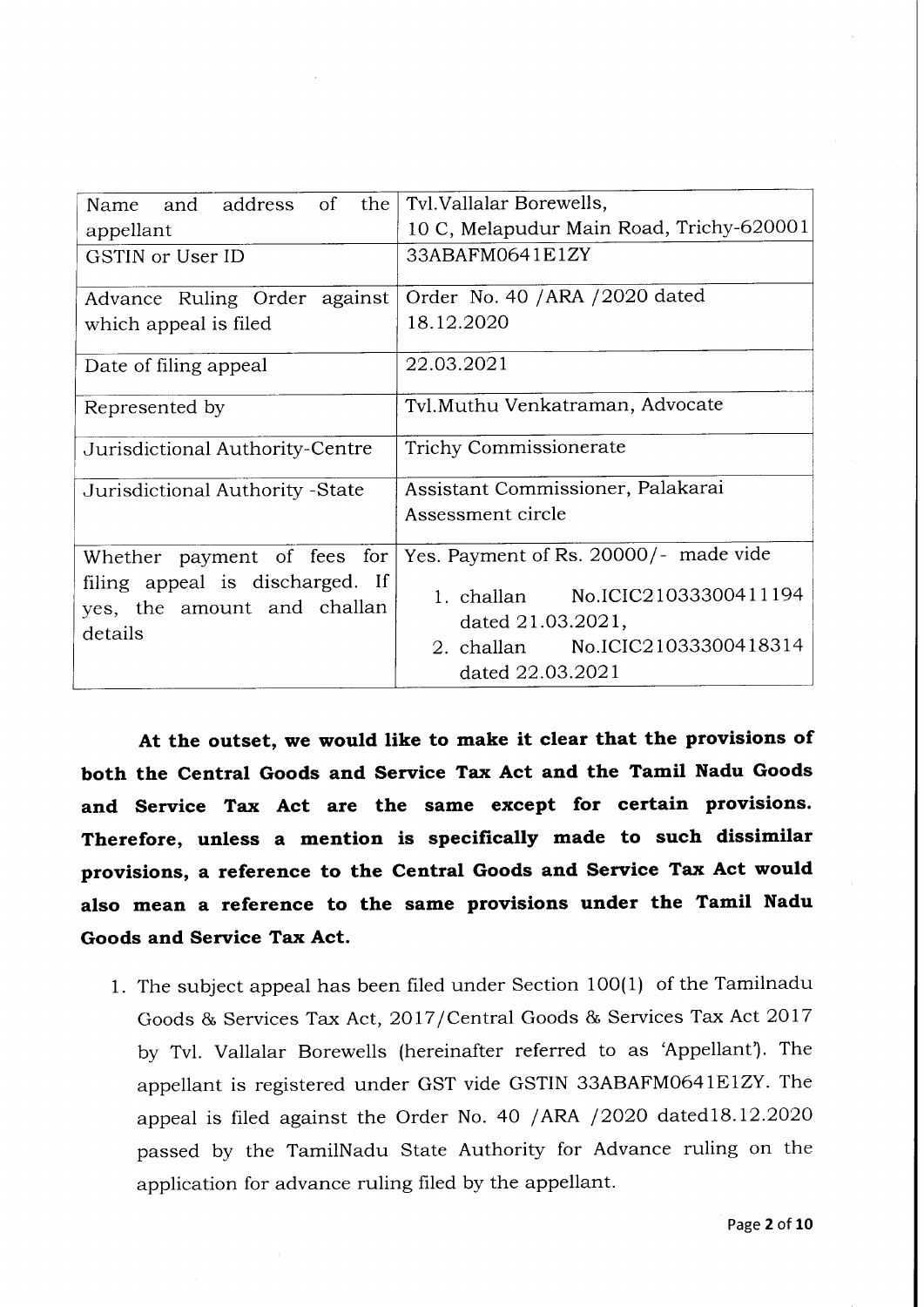| Name and address of the                                                   | Tvl. Vallalar Borewells,                                                                                      |  |  |
|---------------------------------------------------------------------------|---------------------------------------------------------------------------------------------------------------|--|--|
| appellant                                                                 | 10 C, Melapudur Main Road, Trichy-620001                                                                      |  |  |
| <b>GSTIN</b> or User ID                                                   | 33ABAFM0641E1ZY                                                                                               |  |  |
| Advance Ruling Order against                                              | Order No. 40 / ARA / 2020 dated                                                                               |  |  |
| which appeal is filed                                                     | 18.12.2020                                                                                                    |  |  |
| Date of filing appeal                                                     | 22.03.2021                                                                                                    |  |  |
| Represented by                                                            | Tvl.Muthu Venkatraman, Advocate                                                                               |  |  |
| Jurisdictional Authority-Centre                                           | Trichy Commissionerate                                                                                        |  |  |
| Jurisdictional Authority - State                                          | Assistant Commissioner, Palakarai                                                                             |  |  |
|                                                                           | Assessment circle                                                                                             |  |  |
| Whether payment of fees for                                               | Yes. Payment of Rs. 20000/- made vide                                                                         |  |  |
| filing appeal is discharged. If<br>yes, the amount and challan<br>details | 1. challan No.ICIC21033300411194<br>dated 21.03.2021,<br>2. challan No.ICIC21033300418314<br>dated 22.03.2021 |  |  |

At the outset, we would like to make it clear that the provisions of both the Central Goods and Service Tax Act and the Tamil Nadu Goods and Service Tax Act are the same except for certain provisions. Therefore, unless a mention is specifically made to such dissimilar provisions, a reference to the Central Goods and Service Tax Act would also mean a reference to the same provisions under the Tamil Nadu Goods and Service Tax Act.

1. The subject appeal has been filed under Section 100(1) of the Tamilnadu Goods & Services Tax Act, 2017/Central Goods & Services Tax Act 2017 by Tvl. Vallalar Borewells (hereinafter referred to as 'Appellant'). The appellant is registered under GST vide GSTIN 33ABAFM064IEIZY. The appeal is filed against the Order No. 40 /ARA /2020 dated18.12.2020 passed by the TamilNadu State Authority for Advance ruling on the application for advance ruling filed by the appellant.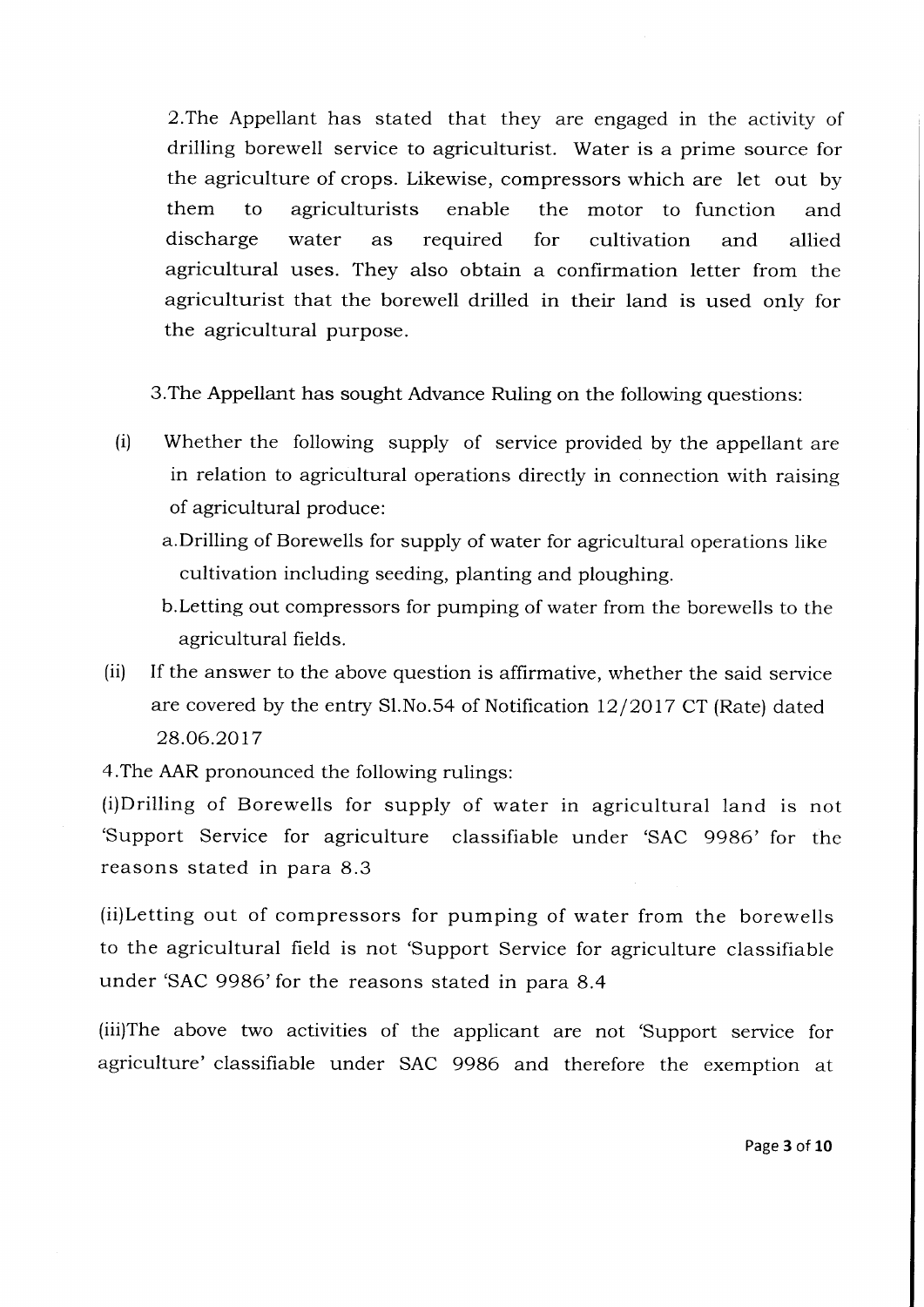2.The Appellant has stated that they are engaged in the activity of drilling borewell service to agriculturist. Water is a prime source for the agriculture of crops. Likewise, compressors which are let out by them to agriculturists enable the motor to function and discharge water as required for cultivation and allied agricultural uses. They also obtain a confirmation letter from the agriculturist that the borewell drilled in their land is used only for the agricultural purpose.

3.The Appellant has sought Advance Ruling on the following questions:

- (i) Whether the following supply of service provided by the appellant are in relation to agricultural operations directly in connection with raising of agricultural produce:
	- a.Drilling of Borewells for supply of water for agricultural operations like cultivation including seeding, planting and ploughing.
	- b.Letting out compressors for pumping of water from the boreweils to the agricultural fields.
- (ii) If the answer to the above question is affirmative, whether the said service are covered by the entry Sl.No.54 of Notification  $12/2017$  CT (Rate) dated 28.06.2017

4.The AAR pronounced the following rulings:

(i)Drilling of Borewells for supply of water in agricultural land is not 'Support Service for agriculture classifiable under 'SAC 9986' for the reasons stated in para 8.3

(ii)Letting out of compressors for pumping of water from the borewells to the agricultural field is not 'Support Service for agriculture classifiable under 'SAC 9986'for the reasons stated in para 8.4

(iii)The above two activities of the applicant are not 'support service for agriculture' classifiable under SAC 9986 and therefore the exemption at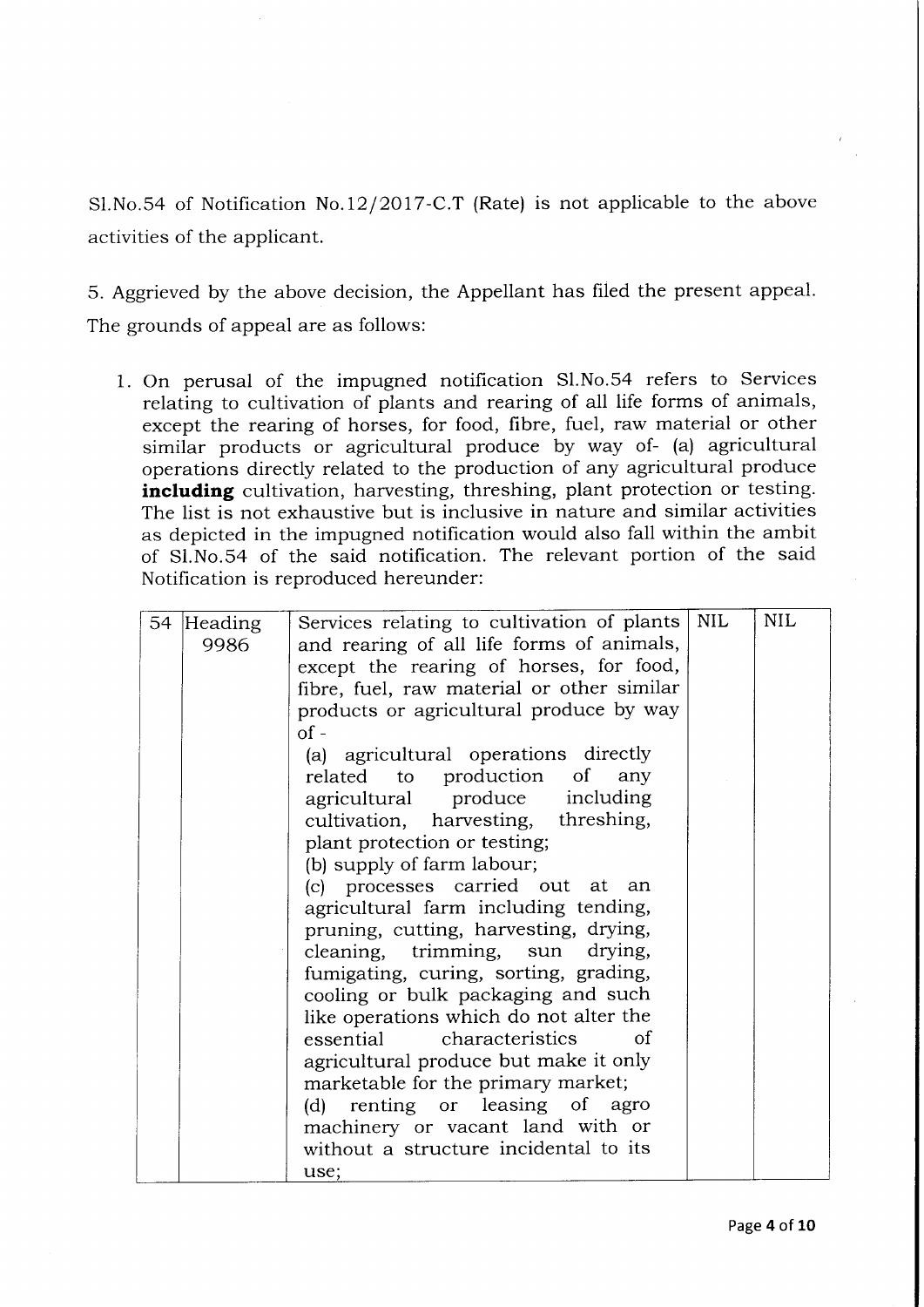Sl.No.S4 of Notification No.12/2O17-C.T (Rate) is not applicable to the above activities of the applicant.

5. Aggrieved by the above decision, the Appellant has filed the present appeal. The grounds of appeal are as follows:

1. On perusal of the impugned notification S1.No.54 refers to Services relating to cultivation of plants and rearing of all life forms of animals, except the rearing of horses, for food, fibre, fuel, raw material or other similar products or agricultural produce by way of- (a) agricultural operations directly related to the production of any agricultural produce including cultivation, harvesting, threshing, plant protection or testing. The list is not exhaustive but is inclusive in nature and similar activities as depicted in the impugned notification would also fall within the ambit of S1.No.54 of the said notification. The relevant portion of the said Notification is reproduced hereunder:

|            |                                            | <b>NIL</b> | <b>NIL</b> |
|------------|--------------------------------------------|------------|------------|
| 54 Heading | Services relating to cultivation of plants |            |            |
| 9986       | and rearing of all life forms of animals,  |            |            |
|            | except the rearing of horses, for food,    |            |            |
|            | fibre, fuel, raw material or other similar |            |            |
|            | products or agricultural produce by way    |            |            |
|            |                                            |            |            |
|            | $of -$                                     |            |            |
|            | (a) agricultural operations directly       |            |            |
|            | related to production of any               |            |            |
|            | agricultural produce including             |            |            |
|            | cultivation, harvesting, threshing,        |            |            |
|            | plant protection or testing;               |            |            |
|            |                                            |            |            |
|            | (b) supply of farm labour;                 |            |            |
|            | (c) processes carried out at an            |            |            |
|            | agricultural farm including tending,       |            |            |
|            | pruning, cutting, harvesting, drying,      |            |            |
|            | cleaning, trimming, sun drying,            |            |            |
|            | fumigating, curing, sorting, grading,      |            |            |
|            |                                            |            |            |
|            | cooling or bulk packaging and such         |            |            |
|            | like operations which do not alter the     |            |            |
|            | essential characteristics<br>οf            |            |            |
|            | agricultural produce but make it only      |            |            |
|            | marketable for the primary market;         |            |            |
|            | (d) renting or leasing of agro             |            |            |
|            | machinery or vacant land with or           |            |            |
|            |                                            |            |            |
|            | without a structure incidental to its      |            |            |
|            | use;                                       |            |            |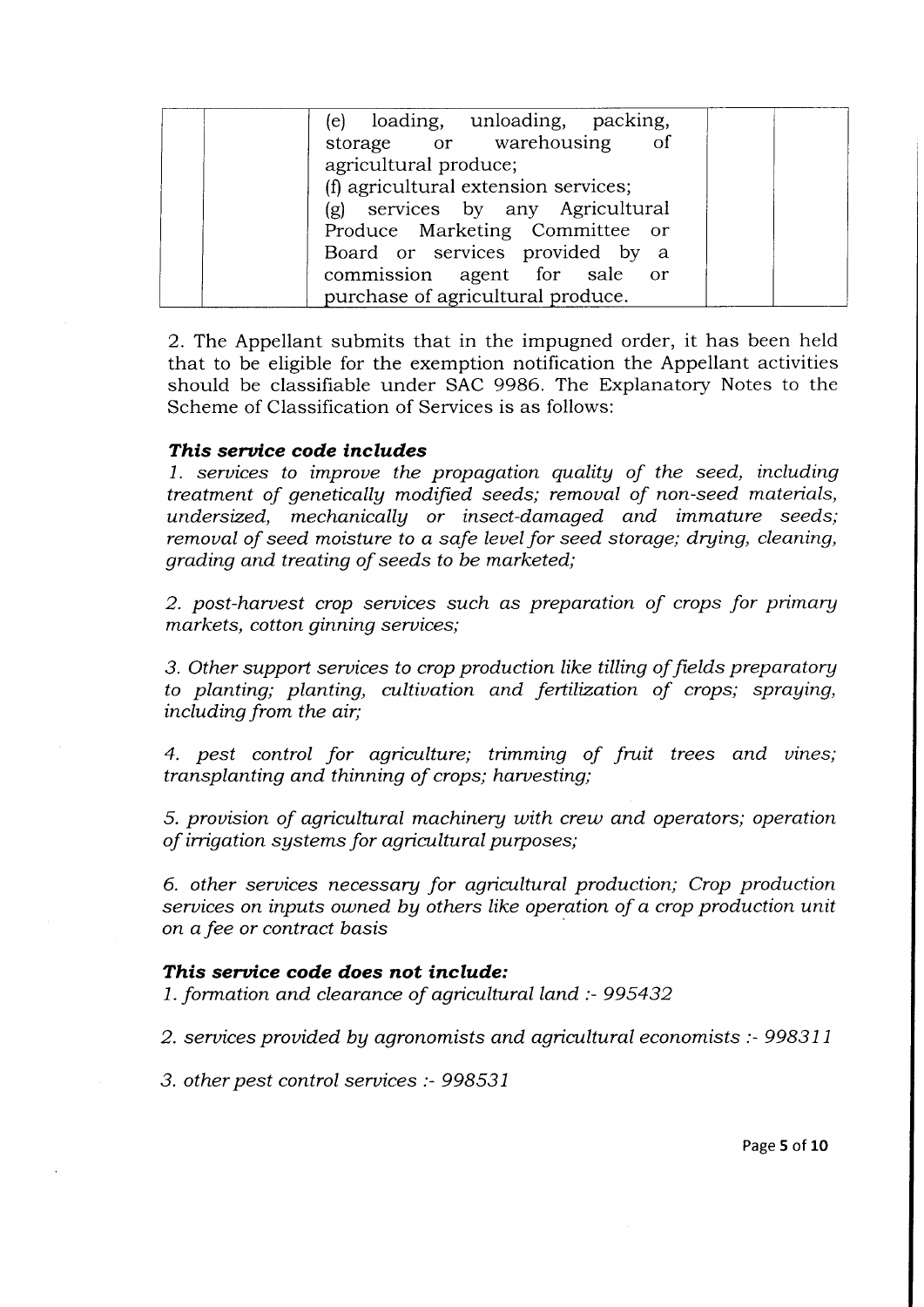| (e) loading, unloading, packing,     |
|--------------------------------------|
| storage or warehousing of            |
| agricultural produce;                |
| (f) agricultural extension services; |
| (g) services by any Agricultural     |
| Produce Marketing Committee or       |
| Board or services provided by a      |
| commission agent for sale or         |
| purchase of agricultural produce.    |

2. The Appellant submits that in the impugned order, it has been held that to be eligible for the exemption notification the Appellant activities should be classifiable under SAC 9986. The Explanatory Notes to the Scheme of Classification of Services is as follows:

### This service code includes

1. seruices to improue the propagation qualitg of the seed, including treatment of geneticallg modified seeds; remoual of non-seed materials, undersized, mechanically or insect-damaged and immature seeds; remoual of seed moisture to a safe leuel for seed storage; drying, cleaning, grading and treating of seeds to be marketed;

2. post-haruest crop seruices such as preparation of crops for primary markets, cotton ginning seruices;

3. Other support seruices to crop production like tilling of fields preparatorg to planting; planting, cultivation and fertilization of crops; spraying, including from the air;

4. pest control for agriculture; trimming of fruit trees and vines; transplanting and thinning of crops; haruesting;

5. prouision of agricultural machinery uith crew and operators; operation of irrigation systems for agricultural purposes;

6. other services necessary for agricultural production; Crop production seruices on inputs ouned bg others like operation of a crop production unit on a fee or contract basis

#### This service code does not include:

1. formation and clearance of agricultural land  $\therefore$  995432

2. services provided by agronomists and agricultural economists : 998311

3. other pest control seruices :- 998531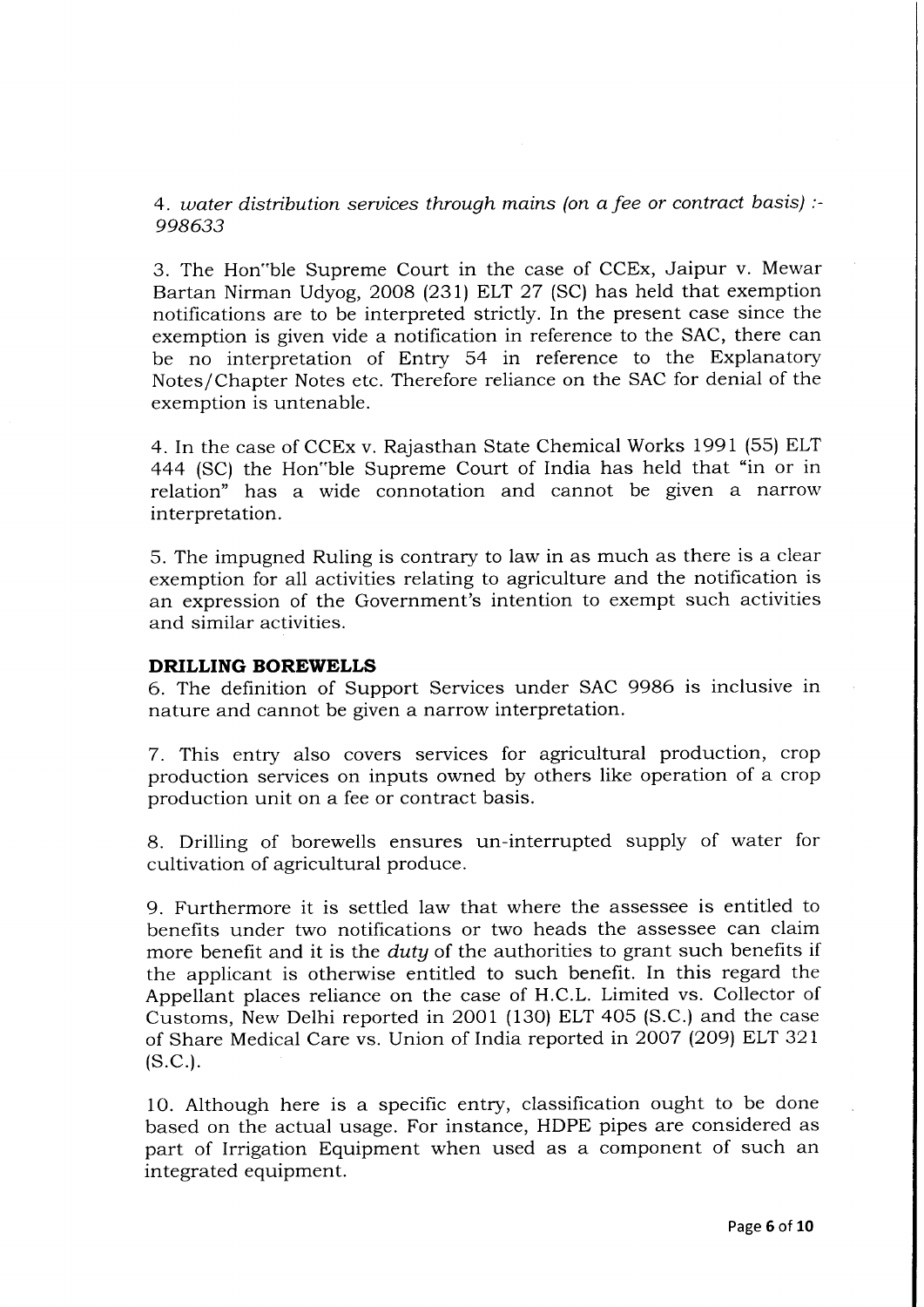4. water distribution services through mains (on a fee or contract basis) :-998633

3. The Hon"ble Supreme Court in the case of CCEx, Jaipur v. Mewar Bartan Nirman Udyog, 2OO8 (23I) ELT 27 (SC) has held that exemption notifications are to be interpreted strictly. In the present case since the exemption is given vide a notification in reference to the SAC, there can be no interpretation of Entry 54 in reference to the Explanatory Notes/Chapter Notes etc. Therefore reliance on the SAC for denial of the exemption is untenable.

4. In the case of CCEx v. Rajasthan State Chemical Works I99I (55) ELT 444 (SC) the Hon"ble Supreme Court of India has held that "in or in relation" has a wide connotation and cannot be given a narrow interpretation.

5. The impugned Ruling is contrary to law in as much as there is a clear exemption for all activities relating to agriculture and the notification is an expression of the Government's intention to exempt such activities and similar activities.

#### DRILLING BOREWELLS

6. The definition of Support Services under SAC 9986 is inclusive in nature and cannot be given a narrow interpretation.

7. This entry also covers services for agricultural production, crop production services on inputs owned by others like operation of a crop production unit on a fee or contract basis.

8. Drilling of borewells ensures un-interrupted supply of water for cultivation of agricultural produce.

9. Furthermore it is settled law that where the assessee is entitled to benefits under two notifications or two heads the assessee can claim more benefit and it is the *duty* of the authorities to grant such benefits if the applicant is otherwise entitled to such benefit. In this regard the Appellant places reliance on the case of H.C.L. Limited vs. Collector of Customs, New Delhi reported in 2OO1 (130) ELT 4O5 (S.C.) and the case of Share Medical Care vs. Union of India reported in 2007 (209) ELT 321  $(S.C.).$ 

10. Although here is a specific entry, classification ought to be done based on the actual usage. For instance, HDPE pipes are considered as part of Irrigation Equipment when used as a component of such an integrated equipment.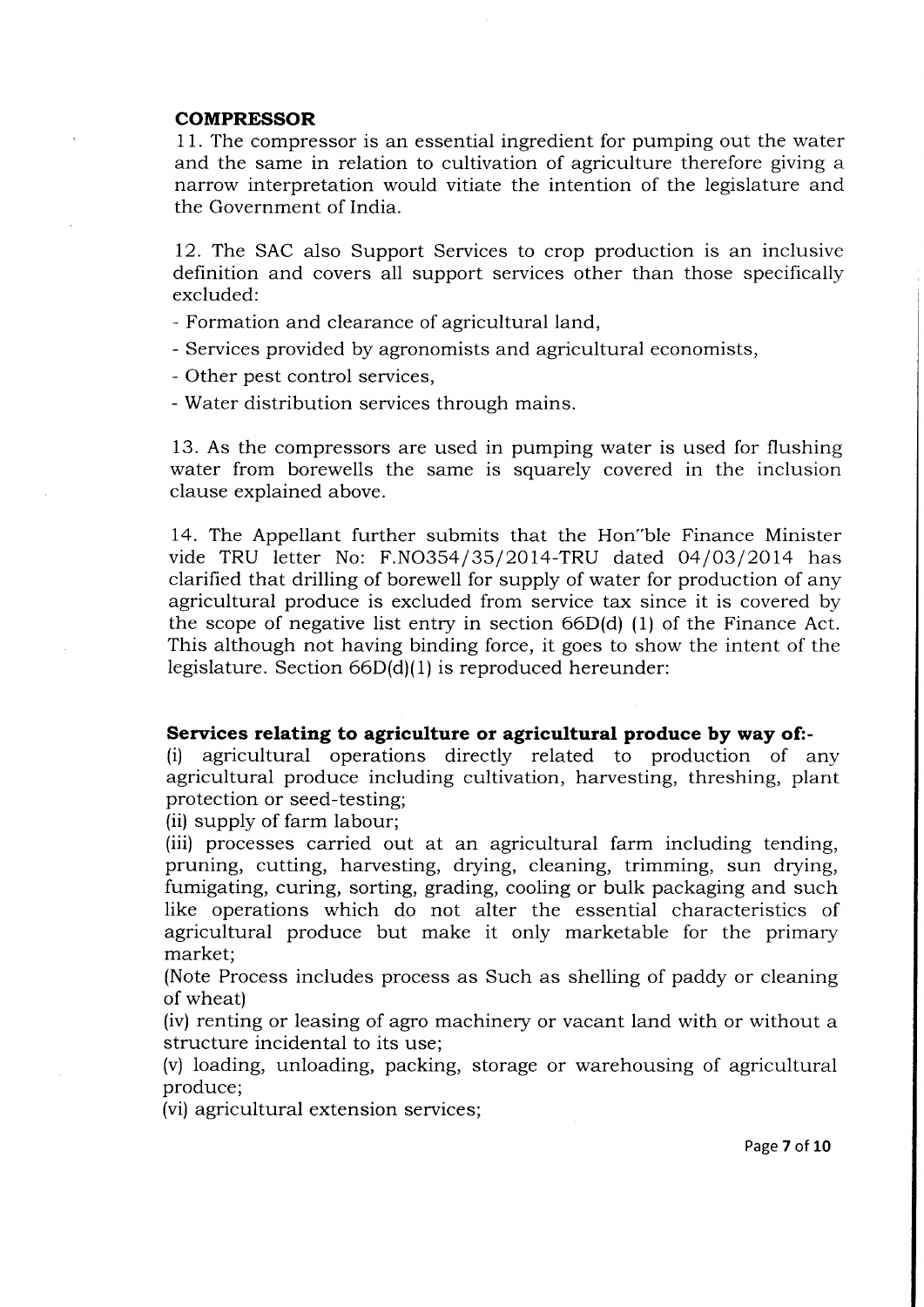#### COMPRESSOR

<sup>1</sup>1. The compressor is an essential ingredient for pumping out the water and the same in relation to cultivation of agriculture therefore giving a narrow interpretation would vitiate the intention of the legislature and the Government of India.

12. The SAC also Support Services to crop production is an inclusive definition and covers all support services other than those specifically excluded:

- Formation and clearance of agricultural land,
- Services provided by agronomists and agricultural economists,
- Other pest control services,
- Water distribution services through mains.

13. As the compressors are used in pumping water is used for flushing water from borewells the same is squarely covered in the inclusion clause explained above.

14. The Appellant further submits that the Hon"ble Finance Minister vide TRU letter No: F.NO354/35/2014-TRU dated 04/03/2014 has clarified that drilling of borewell for supply of water for production of any agricultural produce is excluded from service tax since it is covered by the scope of negative list entry in section 66D(d) (1) of the Finance Act. This although not having binding force, it goes to show the intent of the legislature. Section 66D(d)(1) is reproduced hereunder:

#### Services relating to agriculture or agricultural produce by way of:-

(i) agricultural operations directly related to production of any agricultural produce including cultivation, harvesting, threshing, plant protection or seed-testing;

(ii) supply of farm labour;

(iii) processes carried out at an agricultural farm including tending, pruning, cutting, harvesting, drying, cleaning, trimming, sun drying, fumigating, curing, sorting, grading, cooling or bulk packaging and such like operations which do not alter the essential characteristics of agricultural produce but make it only marketable for the primary market;

(Note Process includes process as Such as shelling of paddy or cleaning of wheat)

(iv) renting or leasing of agro machinery or vacant land with or without a structure incidental to its use:

(v) loading, unloading, packing, storage or warehousing of agricultural produce;

(vi) agricultural extension services;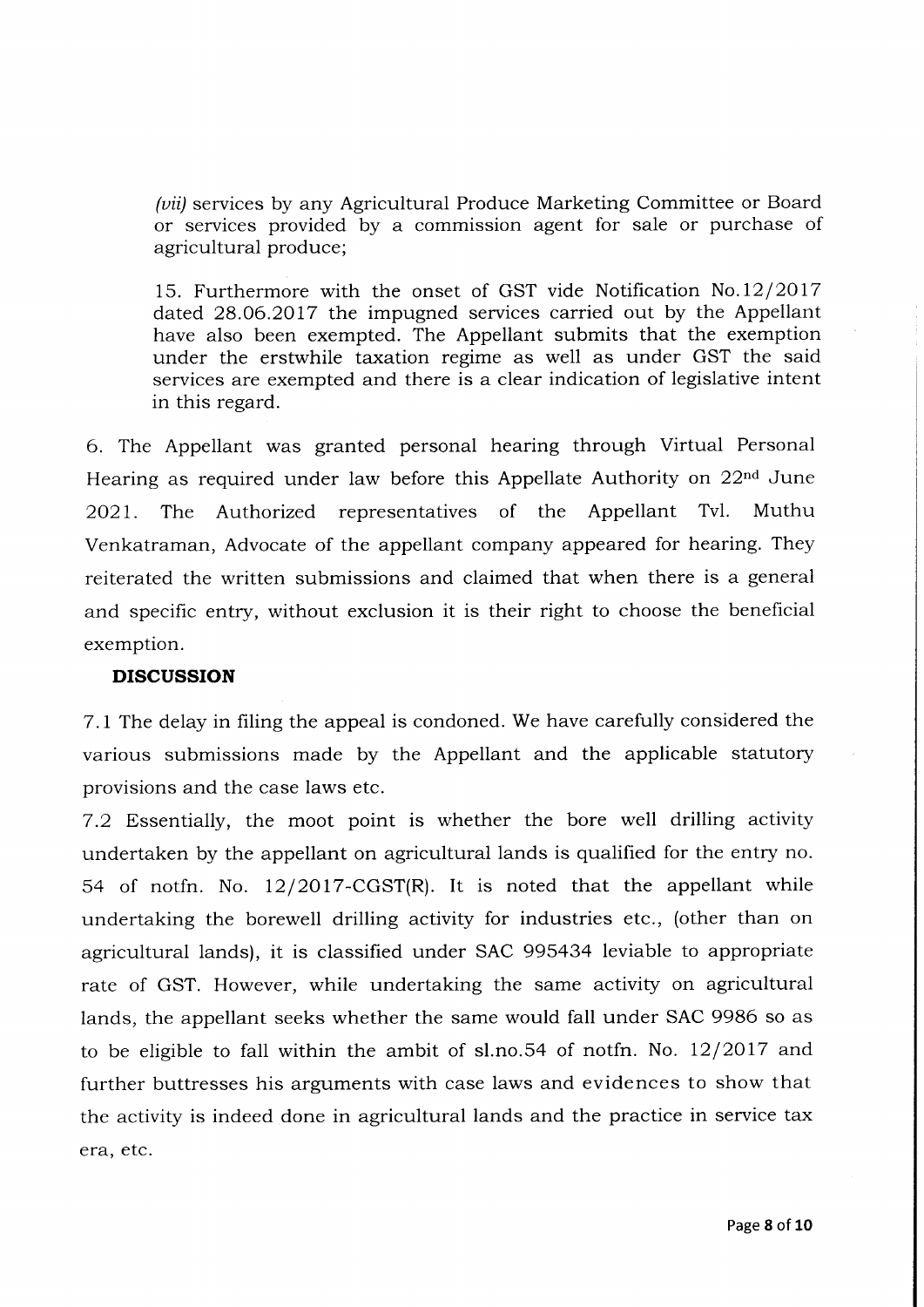(*vii*) services by any Agricultural Produce Marketing Committee or Board or services provided by a commission agent for sale or purchase of agricultural produce;

15. Furthermore with the onset of GST vide Notification  $No.12/2017$ dated 28.06.2017 the impugned services carried out by the Appellant have also been exempted. The Appellant submits that the exemption under the erstwhile taxation regime as well as under GST the said services are exempted and there is a clear indication of legislative intent in this regard.

6. The Appellant was granted personal hearing through Virtual Personal Hearing as required under law before this Appellate Authority on  $22<sup>nd</sup>$  June 2O21. The Authorized representatives of the Appellant Tvl. Muthu Venkatraman, Advocate of the appellant company appeared for hearing. They reiterated the written submissions and claimed that when there is a general and specific entry, without exclusion it is their right to choose the beneficial exemption.

### DISCUSSION

7.L The delay in filing the appeal is condoned. We have carefully considered the various submissions made by the Appellant and the applicable statutory provisions and the case laws etc.

7.2 Essentially, the moot point is whether the bore well drilling activity undertaken by the appellant on agricultural lands is qualified for the entry no. 54 of notfn. No. I2/2O17-CGST(R). It is noted that the appellant while undertaking the borewell drilling activity for industries etc., (other than on agricultural lands), it is classified under SAC 995434 Ieviable to appropriate rate of GST. However, while undertaking the same activity on agricultural lands, the appellant seeks whether the same would fall under SAC 9986 so as to be eligible to fall within the ambit of sl.no.54 of notfn. No.  $12/2017$  and further buttresses his arguments with case laws and evidences to show that the activity is indeed done in agricultural lands and the practice in service tax era. etc.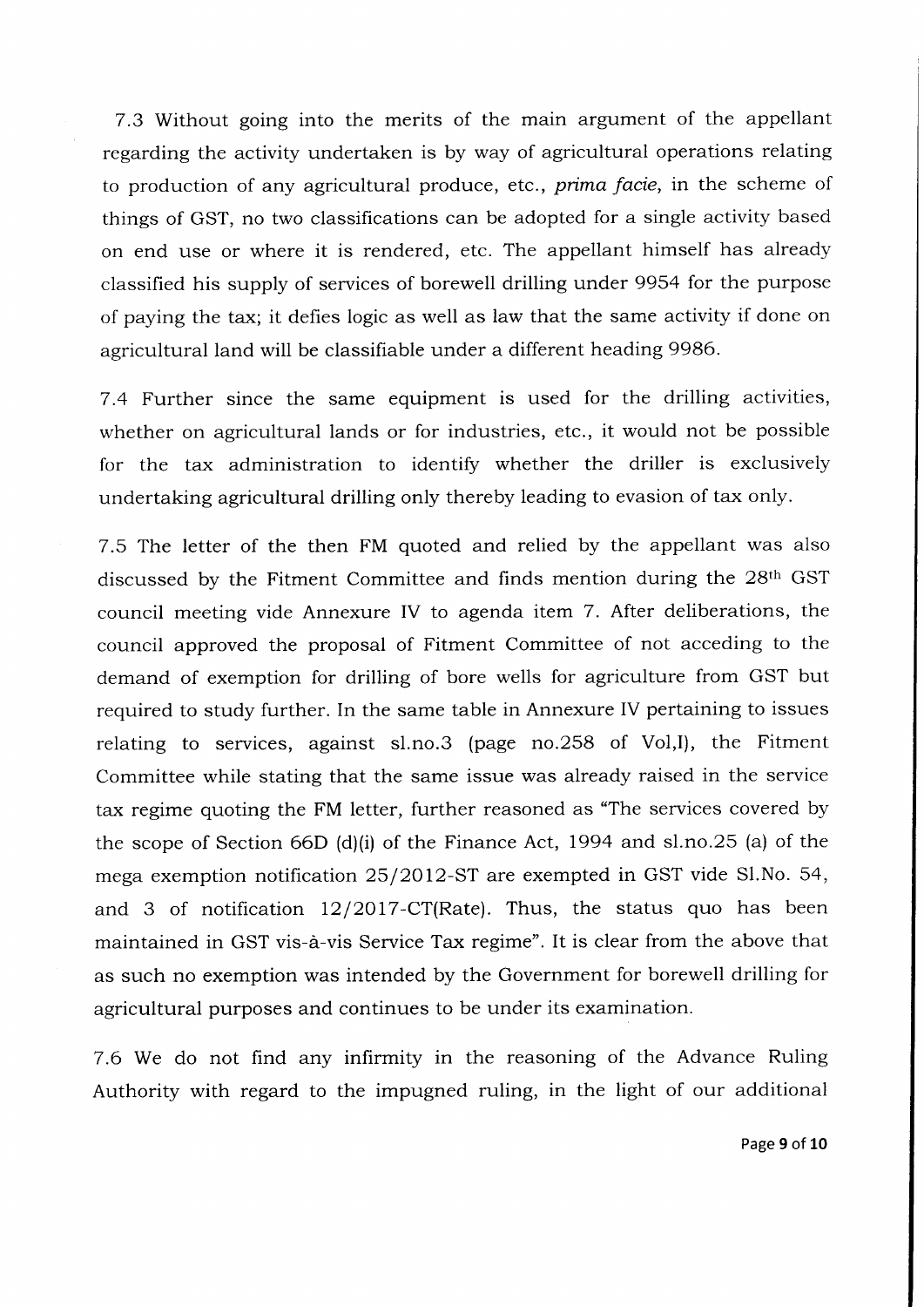7.3 Without going into the merits of the main argument of the appellant regarding the activity undertaken is by way of agricultural operations relating to production of any agricultural produce, etc., *prima facie*, in the scheme of things of GST, no two classifications can be adopted for a single activity based on end use or where it is rendered, etc. The appellant himself has already classified his supply of services of borewell drilling under 9954 for the purpose of paying the tax; it defies logic as well as law that the same activity if done on agricultural land will be classifiabie under a different heading 9986.

7.4 Further since the same equipment is used for the drilling activities, whether on agricultural lands or for industries, etc., it would not be possible for the tax administration to identify whether the driller is exclusively undertaking agricultural drilling only thereby leading to evasion of tax only.

7.5 The letter of the then FM quoted and relied by the appellant was also discussed by the Fitment Committee and finds mention during the 28th GST council meeting vide Annexure IV to agenda item 7. After deliberations, the council approved the proposal of Fitment Committee of not acceding to the demand of exemption for drilling of bore wells for agriculture from GST but required to study further. In the same table in Annexure IV pertaining to issues relating to services, against sl.no.3 (page no.258 of Vol,l), the Fitment Committee while stating that the same issue was already raised in the service tax regime quoting the FM letter, further reasoned as "The services covered by the scope of Section 66D (d)(i) of the Finance Act, 1994 and sl.no.25 (a) of the mega exemption notification 25/2012-ST are exempted in GST vide Sl.No. 54, and 3 of notification  $12/2017$ -CT(Rate). Thus, the status quo has been maintained in GST vis-d-vis Service Tax regime". It is clear from the above that as such no exemption was intended by the Government for borewell drilling for agricultural purposes and continues to be under its examination.

7.6 We do not find any infirmity in the reasoning of the Advance Ruling Authority with regard to the impugned ruling, in the light of our additional